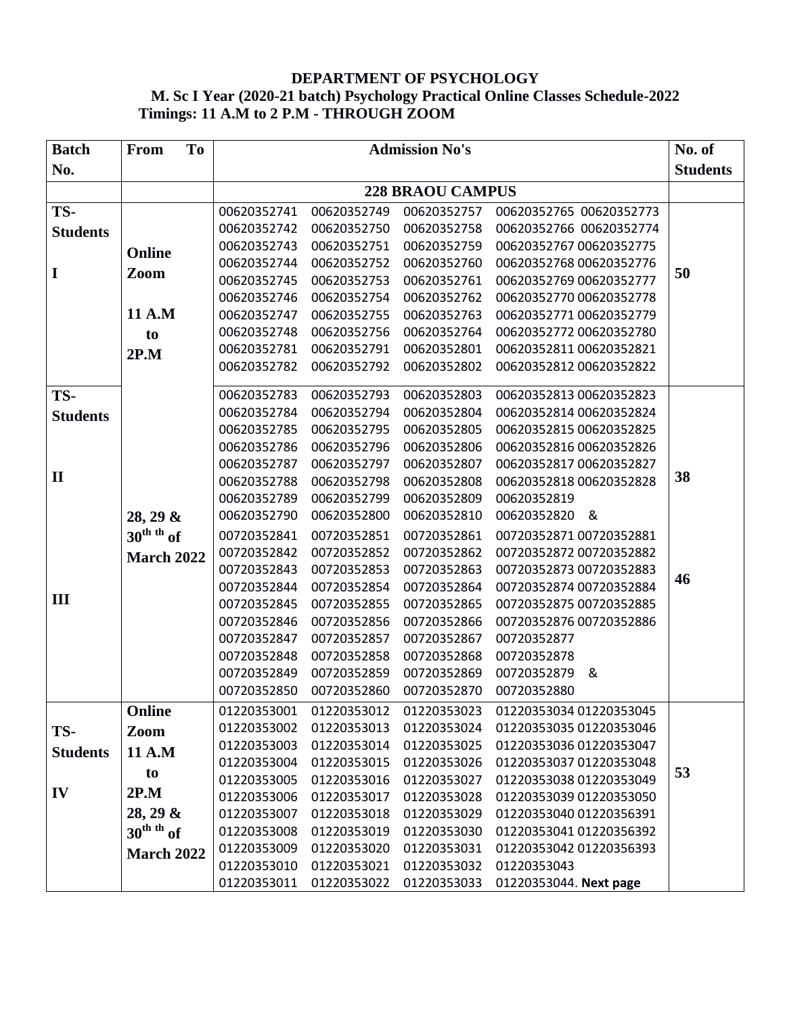## **DEPARTMENT OF PSYCHOLOGY M. Sc I Year (2020-21 batch) Psychology Practical Online Classes Schedule-2022 Timings: 11 A.M to 2 P.M - THROUGH ZOOM**

| <b>Batch</b>    | To<br>From             | <b>Admission No's</b> |                         |             |                                                                     | No. of |  |  |
|-----------------|------------------------|-----------------------|-------------------------|-------------|---------------------------------------------------------------------|--------|--|--|
| No.             |                        |                       |                         |             |                                                                     |        |  |  |
|                 |                        |                       | <b>228 BRAOU CAMPUS</b> |             |                                                                     |        |  |  |
| TS-             |                        | 00620352741           | 00620352749             | 00620352757 | 00620352765 00620352773                                             |        |  |  |
| <b>Students</b> |                        | 00620352742           | 00620352750             | 00620352758 | 00620352766 00620352774                                             |        |  |  |
|                 | Online                 | 00620352743           | 00620352751             | 00620352759 | 00620352767 00620352775                                             |        |  |  |
|                 |                        | 00620352744           | 00620352752             | 00620352760 | 00620352768 00620352776                                             |        |  |  |
| I               | Zoom                   | 00620352745           | 00620352753             | 00620352761 | 00620352769 00620352777                                             | 50     |  |  |
|                 |                        | 00620352746           | 00620352754             | 00620352762 | 00620352770 00620352778                                             |        |  |  |
|                 | 11 A.M                 | 00620352747           | 00620352755             | 00620352763 | 00620352771 00620352779                                             |        |  |  |
|                 | to                     | 00620352748           | 00620352756             | 00620352764 | 00620352772 00620352780                                             |        |  |  |
|                 | 2P.M                   | 00620352781           | 00620352791             | 00620352801 | 00620352811 00620352821                                             |        |  |  |
|                 |                        | 00620352782           | 00620352792             | 00620352802 | 00620352812 00620352822                                             |        |  |  |
| TS-             |                        | 00620352783           | 00620352793             | 00620352803 | 00620352813 00620352823                                             |        |  |  |
| <b>Students</b> |                        | 00620352784           | 00620352794             | 00620352804 | 00620352814 00620352824                                             |        |  |  |
|                 |                        | 00620352785           | 00620352795             | 00620352805 | 00620352815 00620352825                                             |        |  |  |
|                 |                        | 00620352786           | 00620352796             | 00620352806 | 00620352816 00620352826                                             |        |  |  |
|                 |                        | 00620352787           | 00620352797             | 00620352807 | 00620352817 00620352827                                             |        |  |  |
| $\mathbf H$     |                        | 00620352788           | 00620352798             | 00620352808 | 00620352818 00620352828                                             | 38     |  |  |
|                 |                        | 00620352789           | 00620352799             | 00620352809 | 00620352819                                                         |        |  |  |
|                 | $28, 29 \&$            | 00620352790           | 00620352800             | 00620352810 | 00620352820 &                                                       |        |  |  |
|                 | $30^{\text{th}}$ th of | 00720352841           | 00720352851             | 00720352861 | 00720352871 00720352881                                             |        |  |  |
|                 | <b>March 2022</b>      | 00720352842           | 00720352852             | 00720352862 | 00720352872 00720352882                                             |        |  |  |
|                 |                        | 00720352843           | 00720352853             | 00720352863 | 00720352873 00720352883                                             | 46     |  |  |
|                 |                        | 00720352844           | 00720352854             | 00720352864 | 00720352874 00720352884                                             |        |  |  |
| Ш               |                        | 00720352845           | 00720352855             | 00720352865 | 00720352875 00720352885                                             |        |  |  |
|                 |                        | 00720352846           | 00720352856             | 00720352866 | 00720352876 00720352886                                             |        |  |  |
|                 |                        | 00720352847           | 00720352857             | 00720352867 | 00720352877                                                         |        |  |  |
|                 |                        | 00720352848           | 00720352858             | 00720352868 | 00720352878                                                         |        |  |  |
|                 |                        | 00720352849           | 00720352859             | 00720352869 | 00720352879 &                                                       |        |  |  |
|                 |                        | 00720352850           | 00720352860             | 00720352870 | 00720352880                                                         |        |  |  |
|                 | Online                 |                       |                         |             | 01220353001   01220353012   01220353023   01220353034   01220353045 |        |  |  |
| TS-             | Zoom                   | 01220353002           | 01220353013             | 01220353024 | 01220353035 01220353046                                             |        |  |  |
| <b>Students</b> | <b>11 A.M</b>          | 01220353003           | 01220353014             | 01220353025 | 01220353036 01220353047                                             |        |  |  |
|                 | to                     | 01220353004           | 01220353015             | 01220353026 | 01220353037 01220353048                                             | 53     |  |  |
|                 |                        | 01220353005           | 01220353016             | 01220353027 | 01220353038 01220353049                                             |        |  |  |
| IV              | 2P.M                   | 01220353006           | 01220353017             | 01220353028 | 01220353039 01220353050                                             |        |  |  |
|                 | $28, 29 \&$            | 01220353007           | 01220353018             | 01220353029 | 01220353040 01220356391                                             |        |  |  |
|                 | $30^{\text{th}}$ th of | 01220353008           | 01220353019             | 01220353030 | 01220353041 01220356392                                             |        |  |  |
|                 | <b>March 2022</b>      | 01220353009           | 01220353020             | 01220353031 | 01220353042 01220356393                                             |        |  |  |
|                 |                        | 01220353010           | 01220353021             | 01220353032 | 01220353043                                                         |        |  |  |
|                 |                        | 01220353011           | 01220353022             | 01220353033 | 01220353044. Next page                                              |        |  |  |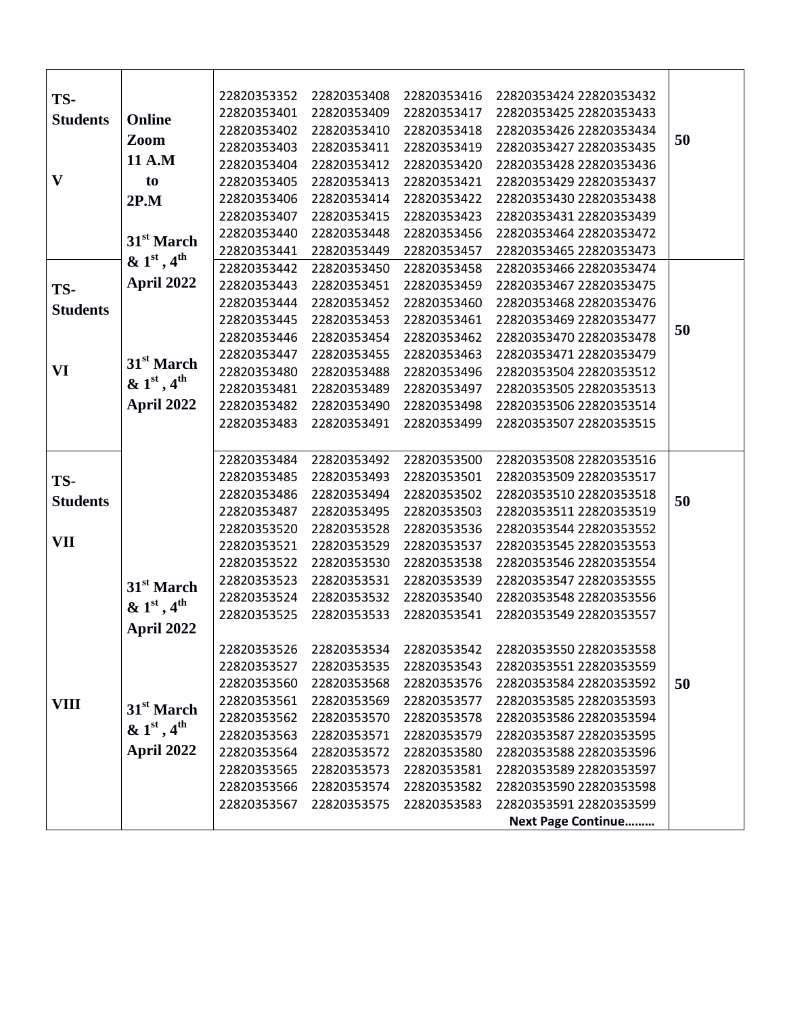| TS-             |                           | 22820353352 | 22820353408 | 22820353416 | 22820353424 22820353432   |    |
|-----------------|---------------------------|-------------|-------------|-------------|---------------------------|----|
| <b>Students</b> | Online                    | 22820353401 | 22820353409 | 22820353417 | 22820353425 22820353433   |    |
|                 |                           | 22820353402 | 22820353410 | 22820353418 | 22820353426 22820353434   |    |
|                 | Zoom                      | 22820353403 | 22820353411 | 22820353419 | 22820353427 22820353435   | 50 |
|                 | 11 A.M                    | 22820353404 | 22820353412 | 22820353420 | 22820353428 22820353436   |    |
| $\mathbf{V}$    | to                        | 22820353405 | 22820353413 | 22820353421 | 22820353429 22820353437   |    |
|                 | 2P.M                      | 22820353406 | 22820353414 | 22820353422 | 22820353430 22820353438   |    |
|                 |                           | 22820353407 | 22820353415 | 22820353423 | 22820353431 22820353439   |    |
|                 |                           | 22820353440 | 22820353448 | 22820353456 | 22820353464 22820353472   |    |
|                 | 31 <sup>st</sup> March    | 22820353441 | 22820353449 | 22820353457 | 22820353465 22820353473   |    |
|                 | & $1st$ , 4 <sup>th</sup> | 22820353442 | 22820353450 | 22820353458 | 22820353466 22820353474   |    |
| TS-             | April 2022                | 22820353443 | 22820353451 | 22820353459 | 22820353467 22820353475   |    |
| <b>Students</b> |                           | 22820353444 | 22820353452 | 22820353460 | 22820353468 22820353476   |    |
|                 |                           | 22820353445 | 22820353453 | 22820353461 | 22820353469 22820353477   |    |
|                 |                           | 22820353446 | 22820353454 | 22820353462 | 22820353470 22820353478   | 50 |
|                 |                           | 22820353447 | 22820353455 | 22820353463 | 22820353471 22820353479   |    |
| VI              | 31 <sup>st</sup> March    | 22820353480 | 22820353488 | 22820353496 | 22820353504 22820353512   |    |
|                 | & $1st$ , 4 <sup>th</sup> | 22820353481 | 22820353489 | 22820353497 | 22820353505 22820353513   |    |
|                 | April 2022                | 22820353482 | 22820353490 | 22820353498 | 22820353506 22820353514   |    |
|                 |                           | 22820353483 | 22820353491 | 22820353499 | 22820353507 22820353515   |    |
|                 |                           |             |             |             |                           |    |
|                 |                           | 22820353484 | 22820353492 | 22820353500 | 22820353508 22820353516   |    |
| TS-             |                           | 22820353485 | 22820353493 | 22820353501 | 22820353509 22820353517   |    |
| <b>Students</b> |                           | 22820353486 | 22820353494 | 22820353502 | 22820353510 22820353518   | 50 |
|                 |                           | 22820353487 | 22820353495 | 22820353503 | 22820353511 22820353519   |    |
|                 |                           | 22820353520 | 22820353528 | 22820353536 | 22820353544 22820353552   |    |
| VII             |                           | 22820353521 | 22820353529 | 22820353537 | 22820353545 22820353553   |    |
|                 |                           | 22820353522 | 22820353530 | 22820353538 | 22820353546 22820353554   |    |
|                 | 31 <sup>st</sup> March    | 22820353523 | 22820353531 | 22820353539 | 22820353547 22820353555   |    |
|                 | & $1st$ , 4 <sup>th</sup> | 22820353524 | 22820353532 | 22820353540 | 22820353548 22820353556   |    |
|                 |                           | 22820353525 | 22820353533 | 22820353541 | 22820353549 22820353557   |    |
|                 | April 2022                |             |             |             |                           |    |
|                 |                           | 22820353526 | 22820353534 | 22820353542 | 22820353550 22820353558   |    |
|                 |                           | 22820353527 | 22820353535 | 22820353543 | 22820353551 22820353559   |    |
|                 |                           | 22820353560 | 22820353568 | 22820353576 | 22820353584 22820353592   | 50 |
| <b>VIII</b>     | 31 <sup>st</sup> March    | 22820353561 | 22820353569 | 22820353577 | 22820353585 22820353593   |    |
|                 |                           | 22820353562 | 22820353570 | 22820353578 | 22820353586 22820353594   |    |
|                 | & $1st$ , 4 <sup>th</sup> | 22820353563 | 22820353571 | 22820353579 | 22820353587 22820353595   |    |
|                 | April 2022                | 22820353564 | 22820353572 | 22820353580 | 22820353588 22820353596   |    |
|                 |                           | 22820353565 | 22820353573 | 22820353581 | 22820353589 22820353597   |    |
|                 |                           | 22820353566 | 22820353574 | 22820353582 | 22820353590 22820353598   |    |
|                 |                           | 22820353567 | 22820353575 | 22820353583 | 22820353591 22820353599   |    |
|                 |                           |             |             |             | <b>Next Page Continue</b> |    |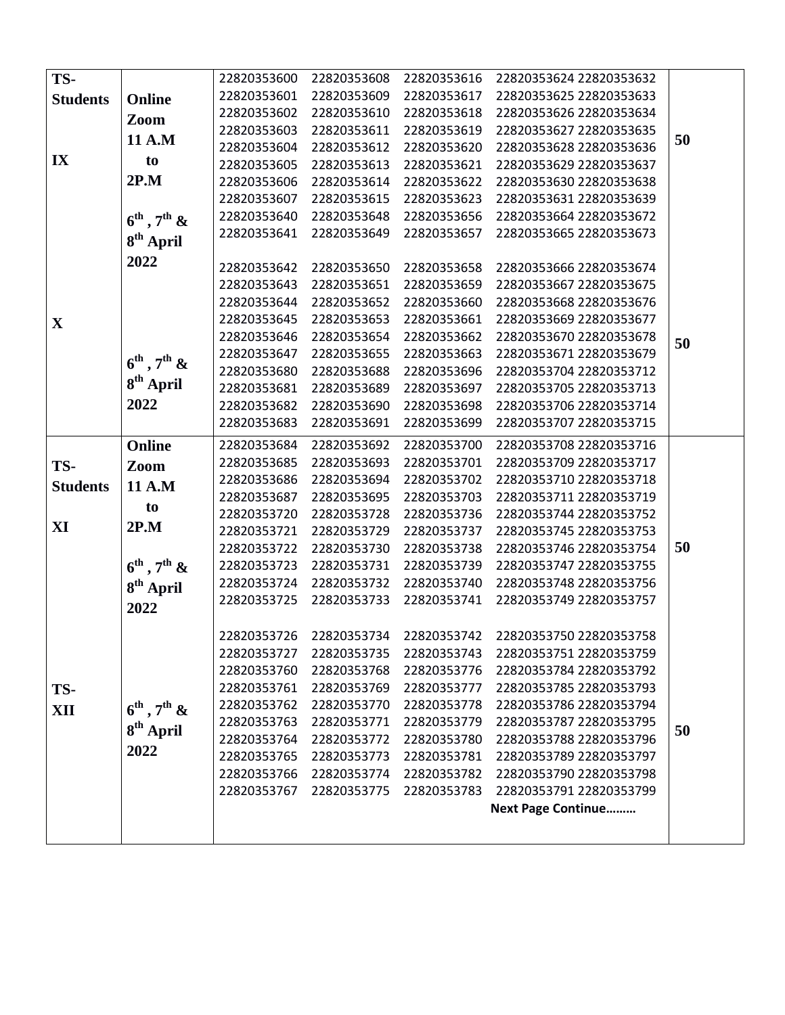| TS-             |                                     | 22820353600 | 22820353608 | 22820353616 | 22820353624 22820353632   |    |
|-----------------|-------------------------------------|-------------|-------------|-------------|---------------------------|----|
| <b>Students</b> | <b>Online</b>                       | 22820353601 | 22820353609 | 22820353617 | 22820353625 22820353633   |    |
|                 |                                     | 22820353602 | 22820353610 | 22820353618 | 22820353626 22820353634   |    |
|                 | Zoom                                | 22820353603 | 22820353611 | 22820353619 | 22820353627 22820353635   |    |
|                 | 11 A.M                              | 22820353604 | 22820353612 | 22820353620 | 22820353628 22820353636   | 50 |
| IX              | to                                  | 22820353605 | 22820353613 | 22820353621 | 22820353629 22820353637   |    |
|                 | 2P.M                                | 22820353606 | 22820353614 | 22820353622 | 22820353630 22820353638   |    |
|                 |                                     | 22820353607 | 22820353615 | 22820353623 | 22820353631 22820353639   |    |
|                 | $6^{\text{th}}$ , $7^{\text{th}}$ & | 22820353640 | 22820353648 | 22820353656 | 22820353664 22820353672   |    |
|                 |                                     | 22820353641 | 22820353649 | 22820353657 | 22820353665 22820353673   |    |
|                 | 8 <sup>th</sup> April               |             |             |             |                           |    |
|                 | 2022                                | 22820353642 | 22820353650 | 22820353658 | 22820353666 22820353674   |    |
|                 |                                     | 22820353643 | 22820353651 | 22820353659 | 22820353667 22820353675   |    |
|                 |                                     | 22820353644 | 22820353652 | 22820353660 | 22820353668 22820353676   |    |
| $\mathbf X$     |                                     | 22820353645 | 22820353653 | 22820353661 | 22820353669 22820353677   |    |
|                 |                                     | 22820353646 | 22820353654 | 22820353662 | 22820353670 22820353678   | 50 |
|                 |                                     | 22820353647 | 22820353655 | 22820353663 | 22820353671 22820353679   |    |
|                 | $6^{\text{th}}$ , $7^{\text{th}}$ & | 22820353680 | 22820353688 | 22820353696 | 22820353704 22820353712   |    |
|                 | 8 <sup>th</sup> April               | 22820353681 | 22820353689 | 22820353697 | 22820353705 22820353713   |    |
|                 | 2022                                | 22820353682 | 22820353690 | 22820353698 | 22820353706 22820353714   |    |
|                 |                                     | 22820353683 | 22820353691 | 22820353699 | 22820353707 22820353715   |    |
|                 | <b>Online</b>                       | 22820353684 | 22820353692 | 22820353700 | 22820353708 22820353716   |    |
| TS-             | Zoom                                | 22820353685 | 22820353693 | 22820353701 | 22820353709 22820353717   |    |
| <b>Students</b> | 11 A.M                              | 22820353686 | 22820353694 | 22820353702 | 22820353710 22820353718   |    |
|                 |                                     | 22820353687 | 22820353695 | 22820353703 | 22820353711 22820353719   |    |
|                 | to                                  | 22820353720 | 22820353728 | 22820353736 | 22820353744 22820353752   |    |
| XI              | 2P.M                                | 22820353721 | 22820353729 | 22820353737 | 22820353745 22820353753   |    |
|                 |                                     | 22820353722 | 22820353730 | 22820353738 | 22820353746 22820353754   | 50 |
|                 | $6^{\text{th}}$ , $7^{\text{th}}$ & | 22820353723 | 22820353731 | 22820353739 | 22820353747 22820353755   |    |
|                 | 8 <sup>th</sup> April               | 22820353724 | 22820353732 | 22820353740 | 22820353748 22820353756   |    |
|                 | 2022                                | 22820353725 | 22820353733 | 22820353741 | 22820353749 22820353757   |    |
|                 |                                     |             |             |             |                           |    |
|                 |                                     | 22820353726 | 22820353734 | 22820353742 | 22820353750 22820353758   |    |
|                 |                                     | 22820353727 | 22820353735 | 22820353743 | 22820353751 22820353759   |    |
|                 |                                     | 22820353760 | 22820353768 | 22820353776 | 22820353784 22820353792   |    |
| TS-             |                                     | 22820353761 | 22820353769 | 22820353777 | 22820353785 22820353793   |    |
| XII             | $6^{\text{th}}$ , $7^{\text{th}}$ & | 22820353762 | 22820353770 | 22820353778 | 22820353786 22820353794   |    |
|                 | $8th$ April                         | 22820353763 | 22820353771 | 22820353779 | 22820353787 22820353795   | 50 |
|                 |                                     | 22820353764 | 22820353772 | 22820353780 | 22820353788 22820353796   |    |
|                 | 2022                                | 22820353765 | 22820353773 | 22820353781 | 22820353789 22820353797   |    |
|                 |                                     | 22820353766 | 22820353774 | 22820353782 | 22820353790 22820353798   |    |
|                 |                                     | 22820353767 | 22820353775 | 22820353783 | 22820353791 22820353799   |    |
|                 |                                     |             |             |             | <b>Next Page Continue</b> |    |
|                 |                                     |             |             |             |                           |    |
|                 |                                     |             |             |             |                           |    |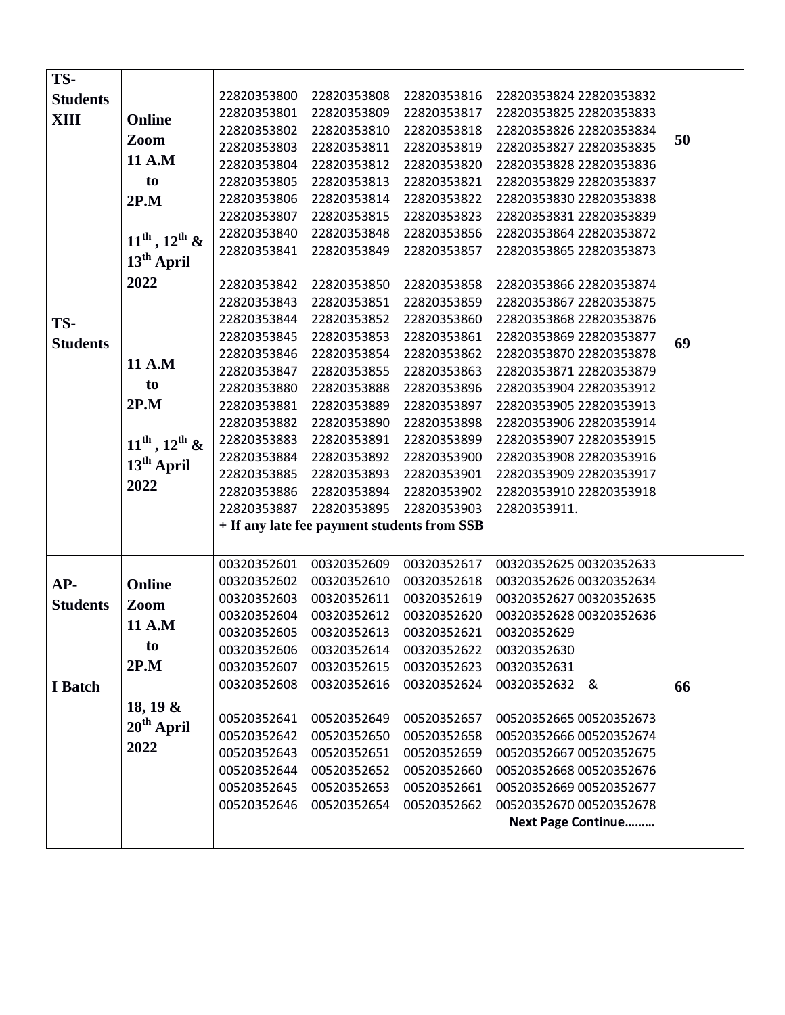| TS-             |                         |             |                                             |             |                           |    |
|-----------------|-------------------------|-------------|---------------------------------------------|-------------|---------------------------|----|
| <b>Students</b> |                         | 22820353800 | 22820353808                                 | 22820353816 | 22820353824 22820353832   |    |
| XIII            | Online                  | 22820353801 | 22820353809                                 | 22820353817 | 22820353825 22820353833   |    |
|                 | Zoom                    | 22820353802 | 22820353810                                 | 22820353818 | 22820353826 22820353834   | 50 |
|                 |                         | 22820353803 | 22820353811                                 | 22820353819 | 22820353827 22820353835   |    |
|                 | 11 A.M                  | 22820353804 | 22820353812                                 | 22820353820 | 22820353828 22820353836   |    |
|                 | to                      | 22820353805 | 22820353813                                 | 22820353821 | 22820353829 22820353837   |    |
|                 | 2P.M                    | 22820353806 | 22820353814                                 | 22820353822 | 22820353830 22820353838   |    |
|                 |                         | 22820353807 | 22820353815                                 | 22820353823 | 22820353831 22820353839   |    |
|                 | $11^{th}$ , $12^{th}$ & | 22820353840 | 22820353848                                 | 22820353856 | 22820353864 22820353872   |    |
|                 |                         | 22820353841 | 22820353849                                 | 22820353857 | 22820353865 22820353873   |    |
|                 | $13th$ April            |             |                                             |             |                           |    |
|                 | 2022                    | 22820353842 | 22820353850                                 | 22820353858 | 22820353866 22820353874   |    |
|                 |                         | 22820353843 | 22820353851                                 | 22820353859 | 22820353867 22820353875   |    |
| TS-             |                         | 22820353844 | 22820353852                                 | 22820353860 | 22820353868 22820353876   |    |
| <b>Students</b> |                         | 22820353845 | 22820353853                                 | 22820353861 | 22820353869 22820353877   | 69 |
|                 | 11 A.M                  | 22820353846 | 22820353854                                 | 22820353862 | 22820353870 22820353878   |    |
|                 |                         | 22820353847 | 22820353855                                 | 22820353863 | 22820353871 22820353879   |    |
|                 | to                      | 22820353880 | 22820353888                                 | 22820353896 | 22820353904 22820353912   |    |
|                 | 2P.M                    | 22820353881 | 22820353889                                 | 22820353897 | 22820353905 22820353913   |    |
|                 |                         | 22820353882 | 22820353890                                 | 22820353898 | 22820353906 22820353914   |    |
|                 | $11^{th}$ , $12^{th}$ & | 22820353883 | 22820353891                                 | 22820353899 | 22820353907 22820353915   |    |
|                 | $13th$ April            | 22820353884 | 22820353892                                 | 22820353900 | 22820353908 22820353916   |    |
|                 |                         | 22820353885 | 22820353893                                 | 22820353901 | 22820353909 22820353917   |    |
|                 | 2022                    | 22820353886 | 22820353894                                 | 22820353902 | 22820353910 22820353918   |    |
|                 |                         | 22820353887 | 22820353895                                 | 22820353903 | 22820353911.              |    |
|                 |                         |             | + If any late fee payment students from SSB |             |                           |    |
|                 |                         |             |                                             |             |                           |    |
|                 |                         | 00320352601 | 00320352609                                 | 00320352617 | 00320352625 00320352633   |    |
| AP-             | Online                  | 00320352602 | 00320352610                                 | 00320352618 | 00320352626 00320352634   |    |
| <b>Students</b> | Zoom                    | 00320352603 | 00320352611                                 | 00320352619 | 00320352627 00320352635   |    |
|                 |                         | 00320352604 | 00320352612                                 | 00320352620 | 00320352628 00320352636   |    |
|                 | 11 A.M                  | 00320352605 | 00320352613                                 | 00320352621 | 00320352629               |    |
|                 | to                      | 00320352606 | 00320352614                                 | 00320352622 | 00320352630               |    |
|                 | 2P.M                    | 00320352607 | 00320352615                                 | 00320352623 | 00320352631               |    |
| I Batch         |                         | 00320352608 | 00320352616                                 | 00320352624 | 00320352632 &             | 66 |
|                 | 18, 19 $\&$             |             |                                             |             |                           |    |
|                 | $20th$ April            | 00520352641 | 00520352649                                 | 00520352657 | 00520352665 00520352673   |    |
|                 |                         | 00520352642 | 00520352650                                 | 00520352658 | 00520352666 00520352674   |    |
|                 | 2022                    | 00520352643 | 00520352651                                 | 00520352659 | 00520352667 00520352675   |    |
|                 |                         | 00520352644 | 00520352652                                 | 00520352660 | 00520352668 00520352676   |    |
|                 |                         | 00520352645 | 00520352653                                 | 00520352661 | 00520352669 00520352677   |    |
|                 |                         | 00520352646 | 00520352654                                 | 00520352662 | 00520352670 00520352678   |    |
|                 |                         |             |                                             |             | <b>Next Page Continue</b> |    |
|                 |                         |             |                                             |             |                           |    |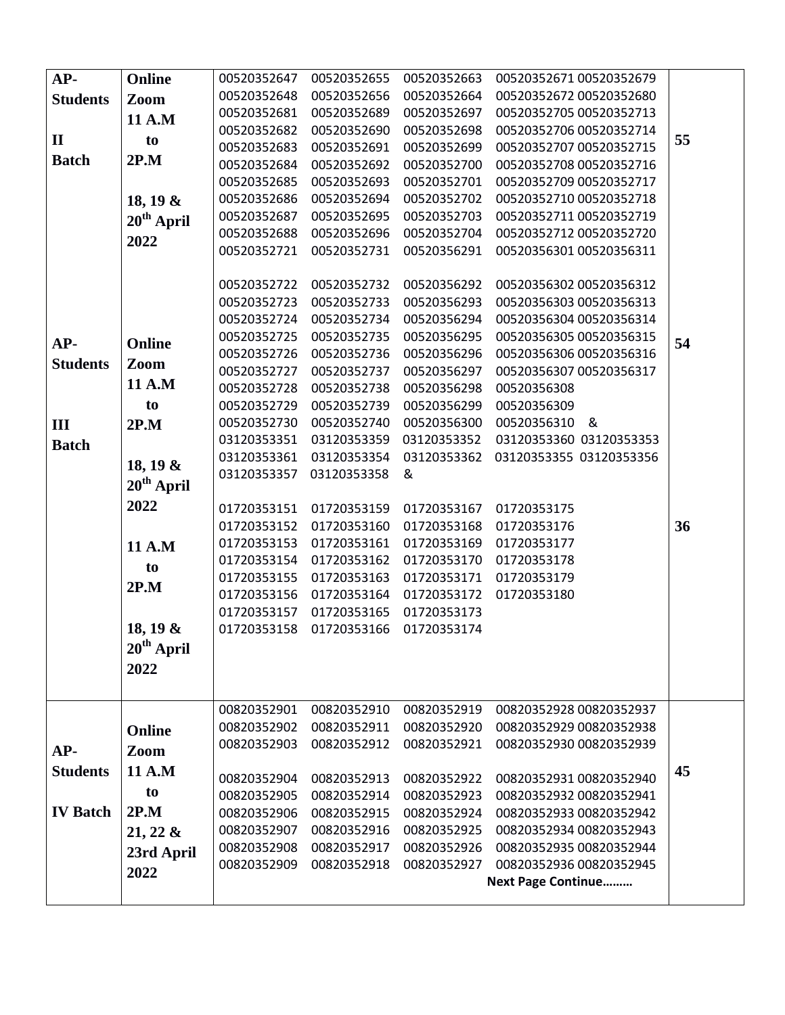| AP-             | Online                 | 00520352647 | 00520352655 | 00520352663 | 00520352671 00520352679   |    |
|-----------------|------------------------|-------------|-------------|-------------|---------------------------|----|
| <b>Students</b> | Zoom                   | 00520352648 | 00520352656 | 00520352664 | 00520352672 00520352680   |    |
|                 | 11 A.M                 | 00520352681 | 00520352689 | 00520352697 | 00520352705 00520352713   |    |
|                 |                        | 00520352682 | 00520352690 | 00520352698 | 00520352706 00520352714   |    |
| $\mathbf{I}$    | to                     | 00520352683 | 00520352691 | 00520352699 | 00520352707 00520352715   | 55 |
| <b>Batch</b>    | 2P.M                   | 00520352684 | 00520352692 | 00520352700 | 00520352708 00520352716   |    |
|                 |                        | 00520352685 | 00520352693 | 00520352701 | 00520352709 00520352717   |    |
|                 | 18, 19 &               | 00520352686 | 00520352694 | 00520352702 | 00520352710 00520352718   |    |
|                 | $20th$ April           | 00520352687 | 00520352695 | 00520352703 | 00520352711 00520352719   |    |
|                 |                        | 00520352688 | 00520352696 | 00520352704 | 00520352712 00520352720   |    |
|                 | 2022                   | 00520352721 | 00520352731 | 00520356291 | 00520356301 00520356311   |    |
|                 |                        |             |             |             |                           |    |
|                 |                        | 00520352722 | 00520352732 | 00520356292 | 00520356302 00520356312   |    |
|                 |                        | 00520352723 | 00520352733 | 00520356293 | 00520356303 00520356313   |    |
|                 |                        | 00520352724 | 00520352734 | 00520356294 | 00520356304 00520356314   |    |
|                 |                        | 00520352725 | 00520352735 | 00520356295 | 00520356305 00520356315   | 54 |
| AP-             | Online                 | 00520352726 | 00520352736 | 00520356296 | 00520356306 00520356316   |    |
| <b>Students</b> | Zoom                   | 00520352727 | 00520352737 | 00520356297 | 00520356307 00520356317   |    |
|                 | 11 A.M                 | 00520352728 | 00520352738 | 00520356298 | 00520356308               |    |
|                 | to                     | 00520352729 | 00520352739 | 00520356299 | 00520356309               |    |
| III             | 2P.M                   | 00520352730 | 00520352740 | 00520356300 | 00520356310 &             |    |
| <b>Batch</b>    |                        | 03120353351 | 03120353359 | 03120353352 | 03120353360 03120353353   |    |
|                 |                        | 03120353361 | 03120353354 | 03120353362 | 03120353355 03120353356   |    |
|                 | 18, 19 &               | 03120353357 | 03120353358 | &           |                           |    |
|                 | $20th$ April           |             |             |             |                           |    |
|                 | 2022                   | 01720353151 | 01720353159 | 01720353167 | 01720353175               |    |
|                 |                        | 01720353152 | 01720353160 | 01720353168 | 01720353176               | 36 |
|                 | 11 A.M                 | 01720353153 | 01720353161 | 01720353169 | 01720353177               |    |
|                 | to                     | 01720353154 | 01720353162 | 01720353170 | 01720353178               |    |
|                 | 2P.M                   | 01720353155 | 01720353163 | 01720353171 | 01720353179               |    |
|                 |                        | 01720353156 | 01720353164 | 01720353172 | 01720353180               |    |
|                 |                        | 01720353157 | 01720353165 | 01720353173 |                           |    |
|                 | 18, 19 &               | 01720353158 | 01720353166 | 01720353174 |                           |    |
|                 | $20^{\text{th}}$ April |             |             |             |                           |    |
|                 | 2022                   |             |             |             |                           |    |
|                 |                        |             |             |             |                           |    |
|                 |                        | 00820352901 | 00820352910 | 00820352919 | 00820352928 00820352937   |    |
|                 |                        | 00820352902 | 00820352911 | 00820352920 | 00820352929 00820352938   |    |
|                 | Online                 | 00820352903 | 00820352912 | 00820352921 | 00820352930 00820352939   |    |
| AP-             | Zoom                   |             |             |             |                           |    |
| <b>Students</b> | 11 A.M                 | 00820352904 | 00820352913 | 00820352922 | 00820352931 00820352940   | 45 |
|                 | to                     | 00820352905 | 00820352914 | 00820352923 | 00820352932 00820352941   |    |
| <b>IV Batch</b> | 2P.M                   | 00820352906 | 00820352915 | 00820352924 | 00820352933 00820352942   |    |
|                 | $21, 22 \&$            | 00820352907 | 00820352916 | 00820352925 | 00820352934 00820352943   |    |
|                 |                        | 00820352908 | 00820352917 | 00820352926 | 00820352935 00820352944   |    |
|                 | 23rd April             | 00820352909 | 00820352918 | 00820352927 | 00820352936 00820352945   |    |
|                 | 2022                   |             |             |             | <b>Next Page Continue</b> |    |
|                 |                        |             |             |             |                           |    |